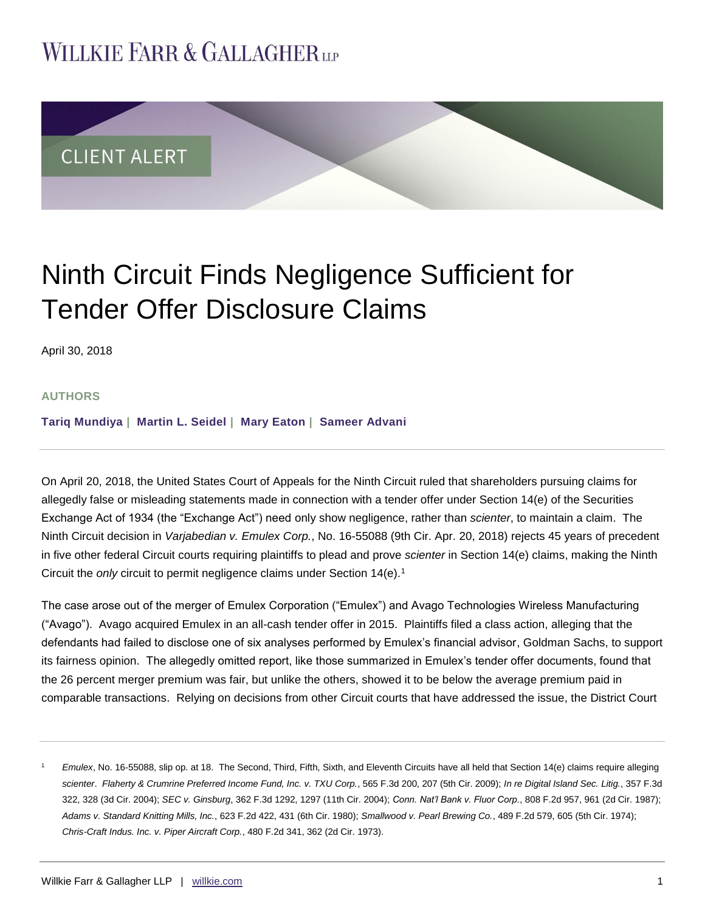## **WILLKIE FARR & GALLAGHERUP**



# Ninth Circuit Finds Negligence Sufficient for Tender Offer Disclosure Claims

April 30, 2018

#### **AUTHORS**

**[Tariq Mundiya](http://www.willkie.com/professionals/m/mundiya-tariq) | [Martin L. Seidel](http://www.willkie.com/professionals/s/seidel-martin) | [Mary Eaton](http://www.willkie.com/professionals/e/eaton-mary) | [Sameer Advani](http://www.willkie.com/professionals/a/advani-sameer)**

On April 20, 2018, the United States Court of Appeals for the Ninth Circuit ruled that shareholders pursuing claims for allegedly false or misleading statements made in connection with a tender offer under Section 14(e) of the Securities Exchange Act of 1934 (the "Exchange Act") need only show negligence, rather than *scienter*, to maintain a claim. The Ninth Circuit decision in *Varjabedian v. Emulex Corp.*, No. 16-55088 (9th Cir. Apr. 20, 2018) rejects 45 years of precedent in five other federal Circuit courts requiring plaintiffs to plead and prove *scienter* in Section 14(e) claims, making the Ninth Circuit the *only* circuit to permit negligence claims under Section 14(e).<sup>1</sup>

The case arose out of the merger of Emulex Corporation ("Emulex") and Avago Technologies Wireless Manufacturing ("Avago"). Avago acquired Emulex in an all-cash tender offer in 2015. Plaintiffs filed a class action, alleging that the defendants had failed to disclose one of six analyses performed by Emulex's financial advisor, Goldman Sachs, to support its fairness opinion. The allegedly omitted report, like those summarized in Emulex's tender offer documents, found that the 26 percent merger premium was fair, but unlike the others, showed it to be below the average premium paid in comparable transactions. Relying on decisions from other Circuit courts that have addressed the issue, the District Court

<sup>1</sup> *Emulex*, No. 16-55088, slip op. at 18. The Second, Third, Fifth, Sixth, and Eleventh Circuits have all held that Section 14(e) claims require alleging *scienter*. *Flaherty & Crumrine Preferred Income Fund, Inc. v. TXU Corp.*, 565 F.3d 200, 207 (5th Cir. 2009); *In re Digital Island Sec. Litig.*, 357 F.3d 322, 328 (3d Cir. 2004); *SEC v. Ginsburg*, 362 F.3d 1292, 1297 (11th Cir. 2004); *Conn. Nat'l Bank v. Fluor Corp.*, 808 F.2d 957, 961 (2d Cir. 1987); *Adams v. Standard Knitting Mills, Inc.*, 623 F.2d 422, 431 (6th Cir. 1980); *Smallwood v. Pearl Brewing Co.*, 489 F.2d 579, 605 (5th Cir. 1974); *Chris-Craft Indus. Inc. v. Piper Aircraft Corp.*, 480 F.2d 341, 362 (2d Cir. 1973).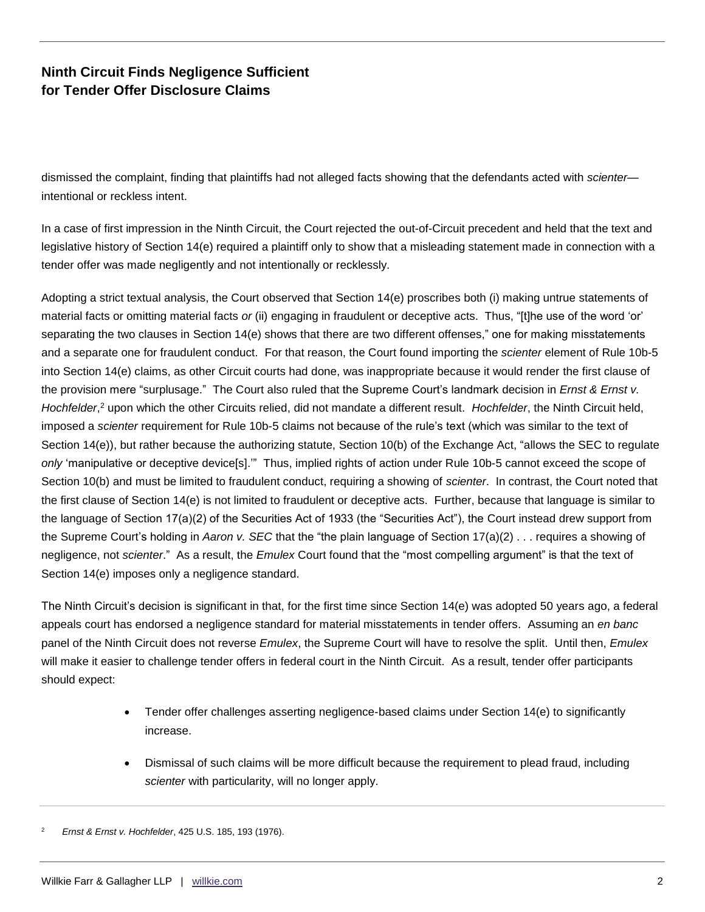## **Ninth Circuit Finds Negligence Sufficient for Tender Offer Disclosure Claims**

dismissed the complaint, finding that plaintiffs had not alleged facts showing that the defendants acted with *scienter* intentional or reckless intent.

In a case of first impression in the Ninth Circuit, the Court rejected the out-of-Circuit precedent and held that the text and legislative history of Section 14(e) required a plaintiff only to show that a misleading statement made in connection with a tender offer was made negligently and not intentionally or recklessly.

Adopting a strict textual analysis, the Court observed that Section 14(e) proscribes both (i) making untrue statements of material facts or omitting material facts *or* (ii) engaging in fraudulent or deceptive acts. Thus, "[t]he use of the word 'or' separating the two clauses in Section 14(e) shows that there are two different offenses," one for making misstatements and a separate one for fraudulent conduct. For that reason, the Court found importing the *scienter* element of Rule 10b-5 into Section 14(e) claims, as other Circuit courts had done, was inappropriate because it would render the first clause of the provision mere "surplusage." The Court also ruled that the Supreme Court's landmark decision in *Ernst & Ernst v. Hochfelder*, <sup>2</sup> upon which the other Circuits relied, did not mandate a different result. *Hochfelder*, the Ninth Circuit held, imposed a *scienter* requirement for Rule 10b-5 claims not because of the rule's text (which was similar to the text of Section 14(e)), but rather because the authorizing statute, Section 10(b) of the Exchange Act, "allows the SEC to regulate *only* 'manipulative or deceptive device[s].'" Thus, implied rights of action under Rule 10b-5 cannot exceed the scope of Section 10(b) and must be limited to fraudulent conduct, requiring a showing of *scienter*. In contrast, the Court noted that the first clause of Section 14(e) is not limited to fraudulent or deceptive acts. Further, because that language is similar to the language of Section 17(a)(2) of the Securities Act of 1933 (the "Securities Act"), the Court instead drew support from the Supreme Court's holding in *Aaron v. SEC* that the "the plain language of Section 17(a)(2) . . . requires a showing of negligence, not *scienter*." As a result, the *Emulex* Court found that the "most compelling argument" is that the text of Section 14(e) imposes only a negligence standard.

The Ninth Circuit's decision is significant in that, for the first time since Section 14(e) was adopted 50 years ago, a federal appeals court has endorsed a negligence standard for material misstatements in tender offers. Assuming an *en banc* panel of the Ninth Circuit does not reverse *Emulex*, the Supreme Court will have to resolve the split. Until then, *Emulex* will make it easier to challenge tender offers in federal court in the Ninth Circuit. As a result, tender offer participants should expect:

- Tender offer challenges asserting negligence-based claims under Section 14(e) to significantly increase.
- Dismissal of such claims will be more difficult because the requirement to plead fraud, including *scienter* with particularity, will no longer apply.

<sup>2</sup> *Ernst & Ernst v. Hochfelder*, 425 U.S. 185, 193 (1976).